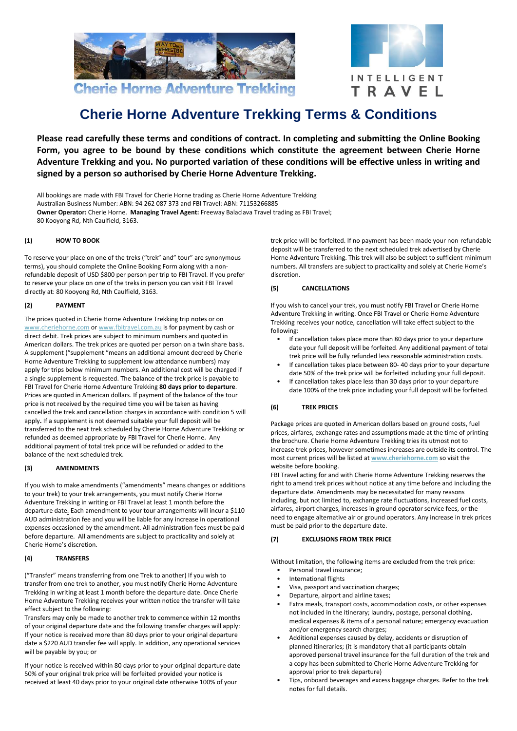



# **Cherie Horne Adventure Trekking Terms & Conditions**

**Please read carefully these terms and conditions of contract. In completing and submitting the Online Booking Form, you agree to be bound by these conditions which constitute the agreement between Cherie Horne Adventure Trekking and you. No purported variation of these conditions will be effective unless in writing and signed by a person so authorised by Cherie Horne Adventure Trekking.**

All bookings are made with FBI Travel for Cherie Horne trading as Cherie Horne Adventure Trekking Australian Business Number: ABN: 94 262 087 373 and FBI Travel: ABN: 71153266885 **Owner Operator:** Cherie Horne. Managing Travel Agent: Freeway Balaclava Travel trading as FBI Travel; 80 Kooyong Rd, Nth Caulfield, 3163.

## **(1) HOW TO BOOK**

To reserve your place on one of the treks ("trek" and" tour" are synonymous terms), you should complete the Online Booking Form along with a nonrefundable deposit of USD \$800 per person per trip to FBI Travel. If you prefer to reserve your place on one of the treks in person you can visit FBI Travel directly at: 80 Kooyong Rd, Nth Caulfield, 3163.

## **(2) PAYMENT**

The prices quoted in Cherie Horne Adventure Trekking trip notes or on [www.cheriehorne.com](../../AppData/Local/Microsoft/Windows/Temporary%20Internet%20Files/Content.Outlook/EOPVA759/www.cheriehorne.com) o[r www.fbitravel.com.au](http://www.fbitravel.com.au/) is for payment by cash or direct debit. Trek prices are subject to minimum numbers and quoted in American dollars. The trek prices are quoted per person on a twin share basis. A supplement ("supplement "means an additional amount decreed by Cherie Horne Adventure Trekking to supplement low attendance numbers) may apply for trips below minimum numbers. An additional cost will be charged if a single supplement is requested. The balance of the trek price is payable to FBI Travel for Cherie Horne Adventure Trekking **80 days prior to departure**. Prices are quoted in American dollars. If payment of the balance of the tour price is not received by the required time you will be taken as having cancelled the trek and cancellation charges in accordance with condition 5 will apply**.** If a supplement is not deemed suitable your full deposit will be transferred to the next trek scheduled by Cherie Horne Adventure Trekking or refunded as deemed appropriate by FBI Travel for Cherie Horne. Any additional payment of total trek price will be refunded or added to the balance of the next scheduled trek.

#### **(3) AMENDMENTS**

If you wish to make amendments ("amendments" means changes or additions to your trek) to your trek arrangements, you must notify Cherie Horne Adventure Trekking in writing or FBI Travel at least 1 month before the departure date. Each amendment to your tour arrangements will incur a \$110 AUD administration fee and you will be liable for any increase in operational expenses occasioned by the amendment. All administration fees must be paid before departure. All amendments are subject to practicality and solely at Cherie Horne's discretion.

# **(4) TRANSFERS**

("Transfer" means transferring from one Trek to another) If you wish to transfer from one trek to another, you must notify Cherie Horne Adventure Trekking in writing at least 1 month before the departure date. Once Cherie Horne Adventure Trekking receives your written notice the transfer will take effect subject to the following:

Transfers may only be made to another trek to commence within 12 months of your original departure date and the following transfer charges will apply: If your notice is received more than 80 days prior to your original departure date a \$220 AUD transfer fee will apply. In addition, any operational services will be payable by you; or

If your notice is received within 80 days prior to your original departure date 50% of your original trek price will be forfeited provided your notice is received at least 40 days prior to your original date otherwise 100% of your

trek price will be forfeited. If no payment has been made your non-refundable deposit will be transferred to the next scheduled trek advertised by Cherie Horne Adventure Trekking. This trek will also be subject to sufficient minimum numbers. All transfers are subject to practicality and solely at Cherie Horne's discretion.

## **(5) CANCELLATIONS**

If you wish to cancel your trek, you must notify FBI Travel or Cherie Horne Adventure Trekking in writing. Once FBI Travel or Cherie Horne Adventure Trekking receives your notice, cancellation will take effect subject to the following:

- If cancellation takes place more than 80 days prior to your departure date your full deposit will be forfeited. Any additional payment of total trek price will be fully refunded less reasonable administration costs.
- If cancellation takes place between 80- 40 days prior to your departure date 50% of the trek price will be forfeited including your full deposit.
- If cancellation takes place less than 30 days prior to your departure date 100% of the trek price including your full deposit will be forfeited.

# **(6) TREK PRICES**

Package prices are quoted in American dollars based on ground costs, fuel prices, airfares, exchange rates and assumptions made at the time of printing the brochure. Cherie Horne Adventure Trekking tries its utmost not to increase trek prices, however sometimes increases are outside its control. The most current prices will be listed at **[www.cheriehorne.com](http://www.cheriehorne.com/)** so visit the website before booking.

FBI Travel acting for and with Cherie Horne Adventure Trekking reserves the right to amend trek prices without notice at any time before and including the departure date. Amendments may be necessitated for many reasons including, but not limited to, exchange rate fluctuations, increased fuel costs, airfares, airport charges, increases in ground operator service fees, or the need to engage alternative air or ground operators. Any increase in trek prices must be paid prior to the departure date.

## **(7) EXCLUSIONS FROM TREK PRICE**

Without limitation, the following items are excluded from the trek price:

- Personal travel insurance;
- International flights
- Visa, passport and vaccination charges;
- Departure, airport and airline taxes;
- Extra meals, transport costs, accommodation costs, or other expenses not included in the itinerary; laundry, postage, personal clothing, medical expenses & items of a personal nature; emergency evacuation and/or emergency search charges;
- Additional expenses caused by delay, accidents or disruption of planned itineraries; (it is mandatory that all participants obtain approved personal travel insurance for the full duration of the trek and a copy has been submitted to Cherie Horne Adventure Trekking for approval prior to trek departure)
- Tips, onboard beverages and excess baggage charges. Refer to the trek notes for full details.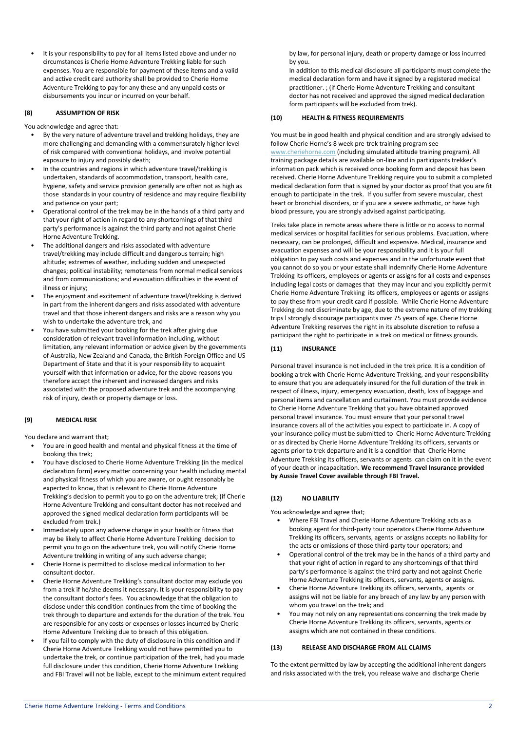• It is your responsibility to pay for all items listed above and under no circumstances is Cherie Horne Adventure Trekking liable for such expenses. You are responsible for payment of these items and a valid and active credit card authority shall be provided to Cherie Horne Adventure Trekking to pay for any these and any unpaid costs or disbursements you incur or incurred on your behalf.

## **(8) ASSUMPTION OF RISK**

You acknowledge and agree that:

- By the very nature of adventure travel and trekking holidays, they are more challenging and demanding with a commensurately higher level of risk compared with conventional holidays, and involve potential exposure to injury and possibly death;
- In the countries and regions in which adventure travel/trekking is undertaken, standards of accommodation, transport, health care, hygiene, safety and service provision generally are often not as high as those standards in your country of residence and may require flexibility and patience on your part;
- Operational control of the trek may be in the hands of a third party and that your right of action in regard to any shortcomings of that third party's performance is against the third party and not against Cherie Horne Adventure Trekking.
- The additional dangers and risks associated with adventure travel/trekking may include difficult and dangerous terrain; high altitude; extremes of weather, including sudden and unexpected changes; political instability; remoteness from normal medical services and from communications; and evacuation difficulties in the event of illness or injury:
- The enjoyment and excitement of adventure travel/trekking is derived in part from the inherent dangers and risks associated with adventure travel and that those inherent dangers and risks are a reason why you wish to undertake the adventure trek, and
- You have submitted your booking for the trek after giving due consideration of relevant travel information including, without limitation, any relevant information or advice given by the governments of Australia, New Zealand and Canada, the British Foreign Office and US Department of State and that it is your responsibility to acquaint yourself with that information or advice, for the above reasons you therefore accept the inherent and increased dangers and risks associated with the proposed adventure trek and the accompanying risk of injury, death or property damage or loss.

#### **(9) MEDICAL RISK**

You declare and warrant that;

- You are in good health and mental and physical fitness at the time of booking this trek;
- You have disclosed to Cherie Horne Adventure Trekking (in the medical declaration form) every matter concerning your health including mental and physical fitness of which you are aware, or ought reasonably be expected to know, that is relevant to Cherie Horne Adventure Trekking's decision to permit you to go on the adventure trek; (if Cherie Horne Adventure Trekking and consultant doctor has not received and approved the signed medical declaration form participants will be excluded from trek.)
- Immediately upon any adverse change in your health or fitness that may be likely to affect Cherie Horne Adventure Trekking decision to permit you to go on the adventure trek, you will notify Cherie Horne Adventure trekking in writing of any such adverse change;
- Cherie Horne is permitted to disclose medical information to her consultant doctor.
- Cherie Horne Adventure Trekking's consultant doctor may exclude you from a trek if he/she deems it necessary**.** It is your responsibility to pay the consultant doctor's fees. You acknowledge that the obligation to disclose under this condition continues from the time of booking the trek through to departure and extends for the duration of the trek. You are responsible for any costs or expenses or losses incurred by Cherie Home Adventure Trekking due to breach of this obligation.
- If you fail to comply with the duty of disclosure in this condition and if Cherie Horne Adventure Trekking would not have permitted you to undertake the trek, or continue participation of the trek, had you made full disclosure under this condition, Cherie Horne Adventure Trekking and FBI Travel will not be liable, except to the minimum extent required

by law, for personal injury, death or property damage or loss incurred by you.

In addition to this medical disclosure all participants must complete the medical declaration form and have it signed by a registered medical practitioner. ; (if Cherie Horne Adventure Trekking and consultant doctor has not received and approved the signed medical declaration form participants will be excluded from trek).

## **(10) HEALTH & FITNESS REQUIREMENTS**

You must be in good health and physical condition and are strongly advised to follow Cherie Horne's 8 week pre-trek training program see [www.cheriehorne.com](http://www.cheriehorne.com/) (including simulated altitude training program). All training package details are available on-line and in participants trekker's information pack which is received once booking form and deposit has been received. Cherie Horne Adventure Trekking require you to submit a completed medical declaration form that is signed by your doctor as proof that you are fit enough to participate in the trek. If you suffer from severe muscular, chest heart or bronchial disorders, or if you are a severe asthmatic, or have high blood pressure, you are strongly advised against participating.

Treks take place in remote areas where there is little or no access to normal medical services or hospital facilities for serious problems. Evacuation, where necessary, can be prolonged, difficult and expensive. Medical, insurance and evacuation expenses and will be your responsibility and it is your full obligation to pay such costs and expenses and in the unfortunate event that you cannot do so you or your estate shall indemnify Cherie Horne Adventure Trekking its officers, employees or agents or assigns for all costs and expenses including legal costs or damages that they may incur and you explicitly permit Cherie Horne Adventure Trekking its officers, employees or agents or assigns to pay these from your credit card if possible. While Cherie Horne Adventure Trekking do not discriminate by age, due to the extreme nature of my trekking trips l strongly discourage participants over 75 years of age. Cherie Horne Adventure Trekking reserves the right in its absolute discretion to refuse a participant the right to participate in a trek on medical or fitness grounds.

## **(11) INSURANCE**

Personal travel insurance is not included in the trek price. It is a condition of booking a trek with Cherie Horne Adventure Trekking, and your responsibility to ensure that you are adequately insured for the full duration of the trek in respect of illness, injury, emergency evacuation, death, loss of baggage and personal items and cancellation and curtailment. You must provide evidence to Cherie Horne Adventure Trekking that you have obtained approved personal travel insurance. You must ensure that your personal travel insurance covers all of the activities you expect to participate in. A copy of your insurance policy must be submitted to Cherie Horne Adventure Trekking or as directed by Cherie Horne Adventure Trekking its officers, servants or agents prior to trek departure and it is a condition that Cherie Horne Adventure Trekking its officers, servants or agents can claim on it in the event of your death or incapacitation. **We recommend Travel Insurance provided by Aussie Travel Cover available through FBI Travel.** 

## **(12) NO LIABILITY**

You acknowledge and agree that;

- Where FBI Travel and Cherie Horne Adventure Trekking acts as a booking agent for third-party tour operators Cherie Horne Adventure Trekking its officers, servants, agents or assigns accepts no liability for the acts or omissions of those third-party tour operators; and
- Operational control of the trek may be in the hands of a third party and that your right of action in regard to any shortcomings of that third party's performance is against the third party and not against Cherie Horne Adventure Trekking its officers, servants, agents or assigns.
- Cherie Horne Adventure Trekking its officers, servants, agents or assigns will not be liable for any breach of any law by any person with whom you travel on the trek; and
- You may not rely on any representations concerning the trek made by Cherie Horne Adventure Trekking its officers, servants, agents or assigns which are not contained in these conditions.

#### **(13) RELEASE AND DISCHARGE FROM ALL CLAIMS**

To the extent permitted by law by accepting the additional inherent dangers and risks associated with the trek, you release waive and discharge Cherie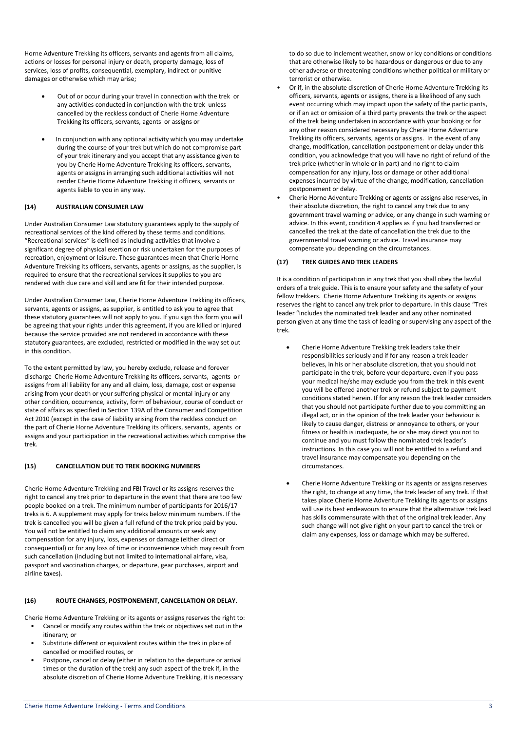Horne Adventure Trekking its officers, servants and agents from all claims, actions or losses for personal injury or death, property damage, loss of services, loss of profits, consequential, exemplary, indirect or punitive damages or otherwise which may arise;

- Out of or occur during your travel in connection with the trek or any activities conducted in conjunction with the trek unless cancelled by the reckless conduct of Cherie Horne Adventure Trekking its officers, servants, agents or assigns or
- In conjunction with any optional activity which you may undertake during the course of your trek but which do not compromise part of your trek itinerary and you accept that any assistance given to you by Cherie Horne Adventure Trekking its officers, servants, agents or assigns in arranging such additional activities will not render Cherie Horne Adventure Trekking it officers, servants or agents liable to you in any way.

#### **(14) AUSTRALIAN CONSUMER LAW**

Under Australian Consumer Law statutory guarantees apply to the supply of recreational services of the kind offered by these terms and conditions. "Recreational services" is defined as including activities that involve a significant degree of physical exertion or risk undertaken for the purposes of recreation, enjoyment or leisure. These guarantees mean that Cherie Horne Adventure Trekking its officers, servants, agents or assigns, as the supplier, is required to ensure that the recreational services it supplies to you are rendered with due care and skill and are fit for their intended purpose.

Under Australian Consumer Law, Cherie Horne Adventure Trekking its officers, servants, agents or assigns, as supplier, is entitled to ask you to agree that these statutory guarantees will not apply to you. If you sign this form you will be agreeing that your rights under this agreement, if you are killed or injured because the service provided are not rendered in accordance with these statutory guarantees, are excluded, restricted or modified in the way set out in this condition.

To the extent permitted by law, you hereby exclude, release and forever discharge Cherie Horne Adventure Trekking its officers, servants, agents or assigns from all liability for any and all claim, loss, damage, cost or expense arising from your death or your suffering physical or mental injury or any other condition, occurrence, activity, form of behaviour, course of conduct or state of affairs as specified in Section 139A of the Consumer and Competition Act 2010 (except in the case of liability arising from the reckless conduct on the part of Cherie Horne Adventure Trekking its officers, servants, agents or assigns and your participation in the recreational activities which comprise the trek.

## **(15) CANCELLATION DUE TO TREK BOOKING NUMBERS**

Cherie Horne Adventure Trekking and FBI Travel or its assigns reserves the right to cancel any trek prior to departure in the event that there are too few people booked on a trek. The minimum number of participants for 2016/17 treks is 6. A supplement may apply for treks below minimum numbers. If the trek is cancelled you will be given a full refund of the trek price paid by you. You will not be entitled to claim any additional amounts or seek any compensation for any injury, loss, expenses or damage (either direct or consequential) or for any loss of time or inconvenience which may result from such cancellation (including but not limited to international airfare, visa, passport and vaccination charges, or departure, gear purchases, airport and airline taxes).

#### **(16) ROUTE CHANGES, POSTPONEMENT, CANCELLATION OR DELAY.**

Cherie Horne Adventure Trekking or its agents or assigns reserves the right to:

- Cancel or modify any routes within the trek or objectives set out in the itinerary; or
- Substitute different or equivalent routes within the trek in place of cancelled or modified routes, or
- Postpone, cancel or delay (either in relation to the departure or arrival times or the duration of the trek) any such aspect of the trek if, in the absolute discretion of Cherie Horne Adventure Trekking, it is necessary

to do so due to inclement weather, snow or icy conditions or conditions that are otherwise likely to be hazardous or dangerous or due to any other adverse or threatening conditions whether political or military or terrorist or otherwise.

- Or if, in the absolute discretion of Cherie Horne Adventure Trekking its officers, servants, agents or assigns, there is a likelihood of any such event occurring which may impact upon the safety of the participants, or if an act or omission of a third party prevents the trek or the aspect of the trek being undertaken in accordance with your booking or for any other reason considered necessary by Cherie Horne Adventure Trekking its officers, servants, agents or assigns. In the event of any change, modification, cancellation postponement or delay under this condition, you acknowledge that you will have no right of refund of the trek price (whether in whole or in part) and no right to claim compensation for any injury, loss or damage or other additional expenses incurred by virtue of the change, modification, cancellation postponement or delay.
- Cherie Horne Adventure Trekking or agents or assigns also reserves, in their absolute discretion, the right to cancel any trek due to any government travel warning or advice, or any change in such warning or advice. In this event, condition 4 applies as if you had transferred or cancelled the trek at the date of cancellation the trek due to the governmental travel warning or advice. Travel insurance may compensate you depending on the circumstances.

## **(17) TREK GUIDES AND TREK LEADERS**

It is a condition of participation in any trek that you shall obey the lawful orders of a trek guide. This is to ensure your safety and the safety of your fellow trekkers. Cherie Horne Adventure Trekking its agents or assigns reserves the right to cancel any trek prior to departure. In this clause "Trek leader "includes the nominated trek leader and any other nominated person given at any time the task of leading or supervising any aspect of the trek.

- Cherie Horne Adventure Trekking trek leaders take their responsibilities seriously and if for any reason a trek leader believes, in his or her absolute discretion, that you should not participate in the trek, before your departure, even if you pass your medical he/she may exclude you from the trek in this event you will be offered another trek or refund subject to payment conditions stated herein. If for any reason the trek leader considers that you should not participate further due to you committing an illegal act, or in the opinion of the trek leader your behaviour is likely to cause danger, distress or annoyance to others, or your fitness or health is inadequate, he or she may direct you not to continue and you must follow the nominated trek leader's instructions. In this case you will not be entitled to a refund and travel insurance may compensate you depending on the circumstances.
- Cherie Horne Adventure Trekking or its agents or assigns reserves the right, to change at any time, the trek leader of any trek. If that takes place Cherie Horne Adventure Trekking its agents or assigns will use its best endeavours to ensure that the alternative trek lead has skills commensurate with that of the original trek leader. Any such change will not give right on your part to cancel the trek or claim any expenses, loss or damage which may be suffered.